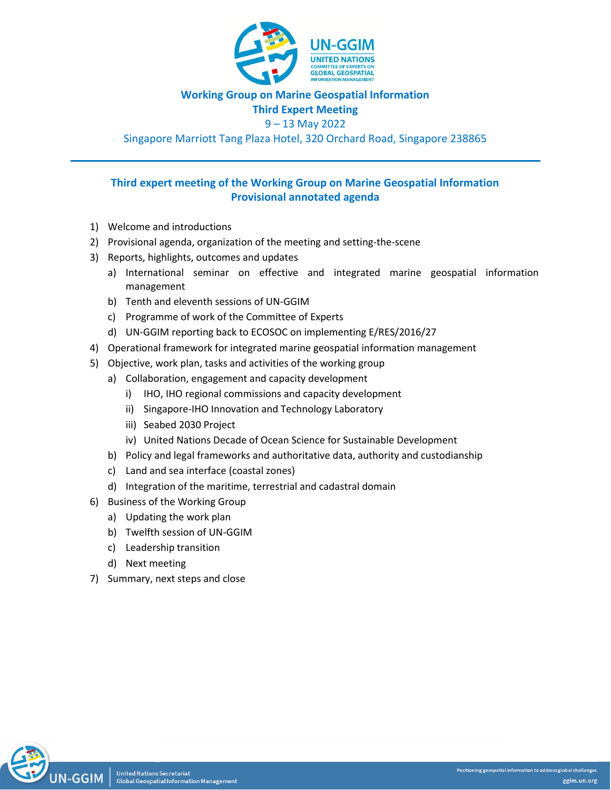

# **Working Group on Marine Geospatial Information**

**Third Expert Meeting**

# 9 – 13 May 2022

Singapore Marriott Tang Plaza Hotel, 320 Orchard Road, Singapore 238865

# **Third expert meeting of the Working Group on Marine Geospatial Information Provisional annotated agenda**

- 1) Welcome and introductions
- 2) Provisional agenda, organization of the meeting and setting-the-scene
- 3) Reports, highlights, outcomes and updates
	- a) International seminar on effective and integrated marine geospatial information management
	- b) Tenth and eleventh sessions of UN-GGIM
	- c) Programme of work of the Committee of Experts
	- d) UN-GGIM reporting back to ECOSOC on implementing E/RES/2016/27
- 4) Operational framework for integrated marine geospatial information management
- 5) Objective, work plan, tasks and activities of the working group
	- a) Collaboration, engagement and capacity development
		- i) IHO, IHO regional commissions and capacity development
		- ii) Singapore-IHO Innovation and Technology Laboratory
		- iii) Seabed 2030 Project
		- iv) United Nations Decade of Ocean Science for Sustainable Development
	- b) Policy and legal frameworks and authoritative data, authority and custodianship
	- c) Land and sea interface (coastal zones)
	- d) Integration of the maritime, terrestrial and cadastral domain
- 6) Business of the Working Group
	- a) Updating the work plan
	- b) Twelfth session of UN-GGIM
	- c) Leadership transition
	- d) Next meeting
- 7) Summary, next steps and close

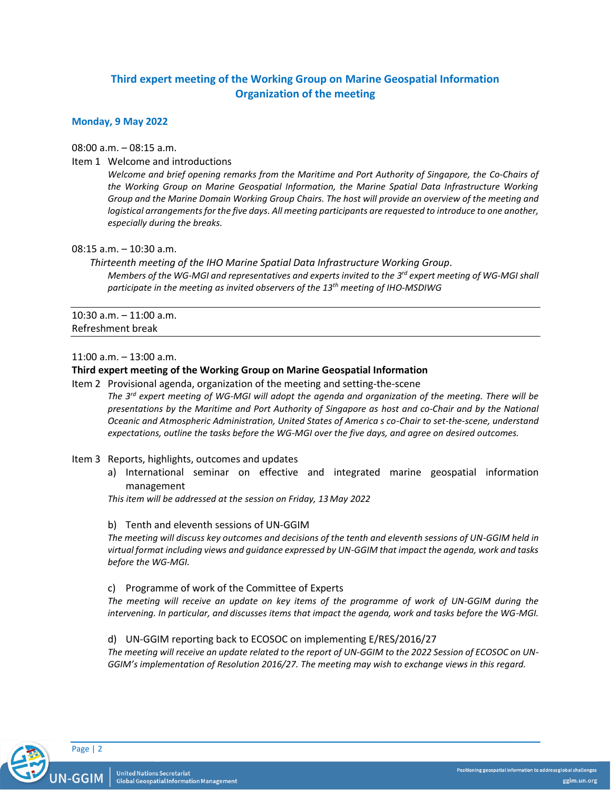# **Third expert meeting of the Working Group on Marine Geospatial Information Organization of the meeting**

# **Monday, 9 May 2022**

08:00 a.m. – 08:15 a.m.

Item 1 Welcome and introductions

*Welcome and brief opening remarks from the Maritime and Port Authority of Singapore, the Co-Chairs of the Working Group on Marine Geospatial Information, the Marine Spatial Data Infrastructure Working Group and the Marine Domain Working Group Chairs. The host will provide an overview of the meeting and*  logistical arrangements for the five days. All meeting participants are requested to introduce to one another, *especially during the breaks.*

08:15 a.m. – 10:30 a.m.

*Thirteenth meeting of the IHO Marine Spatial Data Infrastructure Working Group*. *Members of the WG-MGI and representatives and experts invited to the 3 rd expert meeting of WG-MGI shall participate in the meeting as invited observers of the 13th meeting of IHO-MSDIWG*

10:30 a.m. – 11:00 a.m. Refreshment break

11:00 a.m. – 13:00 a.m.

# **Third expert meeting of the Working Group on Marine Geospatial Information**

Item 2 Provisional agenda, organization of the meeting and setting-the-scene *The 3rd expert meeting of WG-MGI will adopt the agenda and organization of the meeting. There will be presentations by the Maritime and Port Authority of Singapore as host and co-Chair and by the National Oceanic and Atmospheric Administration, United States of America s co-Chair to set-the-scene, understand expectations, outline the tasks before the WG-MGI over the five days, and agree on desired outcomes.*

- Item 3 Reports, highlights, outcomes and updates
	- a) International seminar on effective and integrated marine geospatial information management

*This item will be addressed at the session on Friday, 13 May 2022*

# b) Tenth and eleventh sessions of UN-GGIM

*The meeting will discuss key outcomes and decisions of the tenth and eleventh sessions of UN-GGIM held in virtual format including views and guidance expressed by UN-GGIM that impact the agenda, work and tasks before the WG-MGI.*

c) Programme of work of the Committee of Experts

*The meeting will receive an update on key items of the programme of work of UN-GGIM during the intervening. In particular, and discusses items that impact the agenda, work and tasks before the WG-MGI.*

d) UN-GGIM reporting back to ECOSOC on implementing E/RES/2016/27

*The meeting will receive an update related to the report of UN-GGIM to the 2022 Session of ECOSOC on UN-GGIM's implementation of Resolution 2016/27. The meeting may wish to exchange views in this regard.*

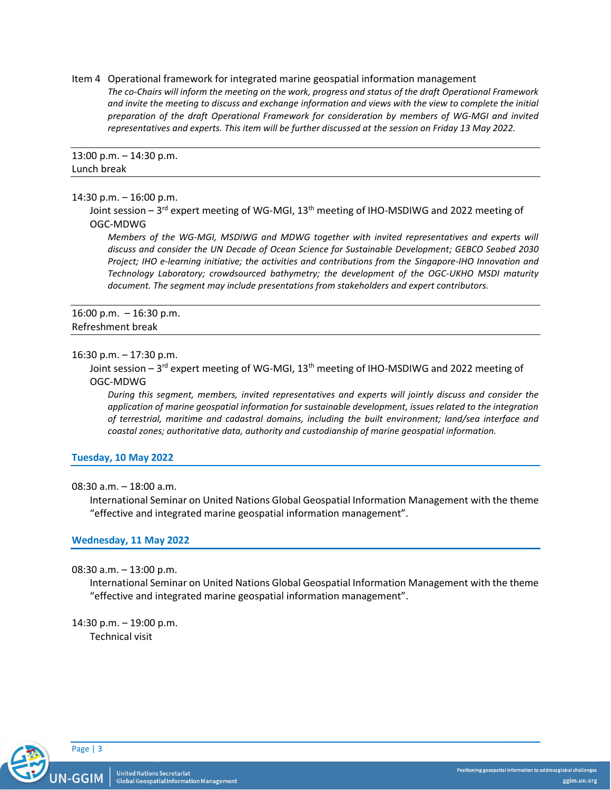Item 4 Operational framework for integrated marine geospatial information management *The co-Chairs will inform the meeting on the work, progress and status of the draft Operational Framework and invite the meeting to discuss and exchange information and views with the view to complete the initial preparation of the draft Operational Framework for consideration by members of WG-MGI and invited representatives and experts. This item will be further discussed at the session on Friday 13 May 2022.*

# 13:00 p.m. – 14:30 p.m. Lunch break

#### 14:30 p.m. – 16:00 p.m.

Joint session – 3<sup>rd</sup> expert meeting of WG-MGI, 13<sup>th</sup> meeting of IHO-MSDIWG and 2022 meeting of OGC-MDWG

*Members of the WG-MGI, MSDIWG and MDWG together with invited representatives and experts will discuss and consider the UN Decade of Ocean Science for Sustainable Development; GEBCO Seabed 2030 Project; IHO e-learning initiative; the activities and contributions from the Singapore-IHO Innovation and Technology Laboratory; crowdsourced bathymetry; the development of the OGC-UKHO MSDI maturity document. The segment may include presentations from stakeholders and expert contributors.*

16:00 p.m. – 16:30 p.m. Refreshment break

#### 16:30 p.m. – 17:30 p.m.

Joint session – 3<sup>rd</sup> expert meeting of WG-MGI, 13<sup>th</sup> meeting of IHO-MSDIWG and 2022 meeting of OGC-MDWG

*During this segment, members, invited representatives and experts will jointly discuss and consider the application of marine geospatial information for sustainable development, issues related to the integration of terrestrial, maritime and cadastral domains, including the built environment; land/sea interface and coastal zones; authoritative data, authority and custodianship of marine geospatial information.*

# **Tuesday, 10 May 2022**

# 08:30 a.m. – 18:00 a.m.

International Seminar on United Nations Global Geospatial Information Management with the theme "effective and integrated marine geospatial information management".

# **Wednesday, 11 May 2022**

### 08:30 a.m. – 13:00 p.m.

International Seminar on United Nations Global Geospatial Information Management with the theme "effective and integrated marine geospatial information management".

14:30 p.m. – 19:00 p.m. Technical visit

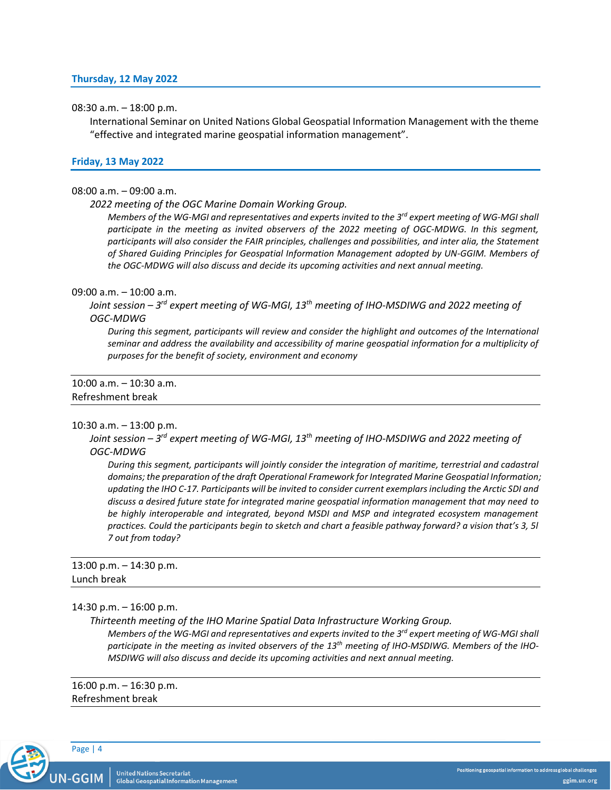### 08:30 a.m. – 18:00 p.m.

International Seminar on United Nations Global Geospatial Information Management with the theme "effective and integrated marine geospatial information management".

### **Friday, 13 May 2022**

### 08:00 a.m. – 09:00 a.m.

#### *2022 meeting of the OGC Marine Domain Working Group.*

*Members of the WG-MGI and representatives and experts invited to the 3rd expert meeting of WG-MGI shall participate in the meeting as invited observers of the 2022 meeting of OGC-MDWG. In this segment, participants will also consider the FAIR principles, challenges and possibilities, and inter alia, the Statement of Shared Guiding Principles for Geospatial Information Management adopted by UN-GGIM. Members of the OGC-MDWG will also discuss and decide its upcoming activities and next annual meeting.*

#### 09:00 a.m. – 10:00 a.m.

*Joint session – 3 rd expert meeting of WG-MGI, 13th meeting of IHO-MSDIWG and 2022 meeting of OGC-MDWG*

*During this segment, participants will review and consider the highlight and outcomes of the International*  seminar and address the availability and accessibility of marine geospatial information for a multiplicity of *purposes for the benefit of society, environment and economy*

# 10:00 a.m. – 10:30 a.m. Refreshment break

# 10:30 a.m. – 13:00 p.m.

*Joint session – 3 rd expert meeting of WG-MGI, 13th meeting of IHO-MSDIWG and 2022 meeting of OGC-MDWG*

*During this segment, participants will jointly consider the integration of maritime, terrestrial and cadastral domains; the preparation of the draft Operational Framework for Integrated Marine Geospatial Information; updating the IHO C-17. Participants will be invited to consider current exemplars including the Arctic SDI and discuss a desired future state for integrated marine geospatial information management that may need to be highly interoperable and integrated, beyond MSDI and MSP and integrated ecosystem management practices. Could the participants begin to sketch and chart a feasible pathway forward? a vision that's 3, 5l 7 out from today?*

13:00 p.m. – 14:30 p.m. Lunch break

### 14:30 p.m. – 16:00 p.m.

*Thirteenth meeting of the IHO Marine Spatial Data Infrastructure Working Group. Members of the WG-MGI and representatives and experts invited to the 3rd expert meeting of WG-MGI shall participate in the meeting as invited observers of the 13th meeting of IHO-MSDIWG. Members of the IHO-MSDIWG will also discuss and decide its upcoming activities and next annual meeting.*

16:00 p.m. – 16:30 p.m. Refreshment break



Positioning geospatial information to address global challenges ggim.un.org